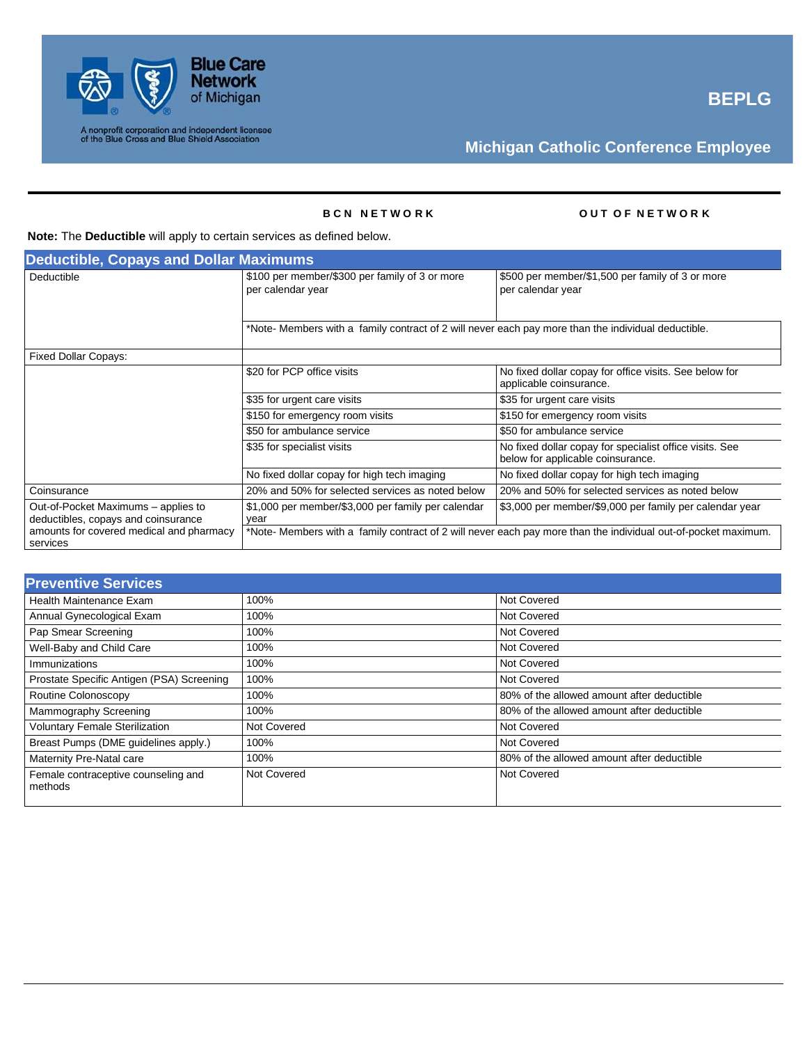

### **B C N N E T W O R K O U T O F N E T W O R K**

### **Note:** The **Deductible** will apply to certain services as defined below.

| <b>Deductible, Copays and Dollar Maximums</b>                              |                                                                                                     |                                                                                                                |  |
|----------------------------------------------------------------------------|-----------------------------------------------------------------------------------------------------|----------------------------------------------------------------------------------------------------------------|--|
| Deductible                                                                 | \$100 per member/\$300 per family of 3 or more<br>per calendar year                                 | \$500 per member/\$1,500 per family of 3 or more<br>per calendar year                                          |  |
|                                                                            | *Note- Members with a family contract of 2 will never each pay more than the individual deductible. |                                                                                                                |  |
| <b>Fixed Dollar Copays:</b>                                                |                                                                                                     |                                                                                                                |  |
|                                                                            | \$20 for PCP office visits                                                                          | No fixed dollar copay for office visits. See below for<br>applicable coinsurance.                              |  |
|                                                                            | \$35 for urgent care visits                                                                         | \$35 for urgent care visits                                                                                    |  |
|                                                                            | \$150 for emergency room visits                                                                     | \$150 for emergency room visits                                                                                |  |
|                                                                            | \$50 for ambulance service                                                                          | \$50 for ambulance service                                                                                     |  |
|                                                                            | \$35 for specialist visits                                                                          | No fixed dollar copay for specialist office visits. See<br>below for applicable coinsurance.                   |  |
|                                                                            | No fixed dollar copay for high tech imaging                                                         | No fixed dollar copay for high tech imaging                                                                    |  |
| Coinsurance                                                                | 20% and 50% for selected services as noted below                                                    | 20% and 50% for selected services as noted below                                                               |  |
| Out-of-Pocket Maximums - applies to<br>deductibles, copays and coinsurance | \$1,000 per member/\$3,000 per family per calendar<br>vear                                          | \$3,000 per member/\$9,000 per family per calendar year                                                        |  |
| amounts for covered medical and pharmacy<br>services                       |                                                                                                     | *Note- Members with a family contract of 2 will never each pay more than the individual out-of-pocket maximum. |  |

| <b>Preventive Services</b>                     |             |                                            |
|------------------------------------------------|-------------|--------------------------------------------|
| <b>Health Maintenance Exam</b>                 | 100%        | <b>Not Covered</b>                         |
| Annual Gynecological Exam                      | 100%        | Not Covered                                |
| Pap Smear Screening                            | 100%        | <b>Not Covered</b>                         |
| Well-Baby and Child Care                       | 100%        | <b>Not Covered</b>                         |
| Immunizations                                  | 100%        | <b>Not Covered</b>                         |
| Prostate Specific Antigen (PSA) Screening      | 100%        | <b>Not Covered</b>                         |
| Routine Colonoscopy                            | 100%        | 80% of the allowed amount after deductible |
| Mammography Screening                          | 100%        | 80% of the allowed amount after deductible |
| <b>Voluntary Female Sterilization</b>          | Not Covered | <b>Not Covered</b>                         |
| Breast Pumps (DME guidelines apply.)           | 100%        | Not Covered                                |
| Maternity Pre-Natal care                       | 100%        | 80% of the allowed amount after deductible |
| Female contraceptive counseling and<br>methods | Not Covered | <b>Not Covered</b>                         |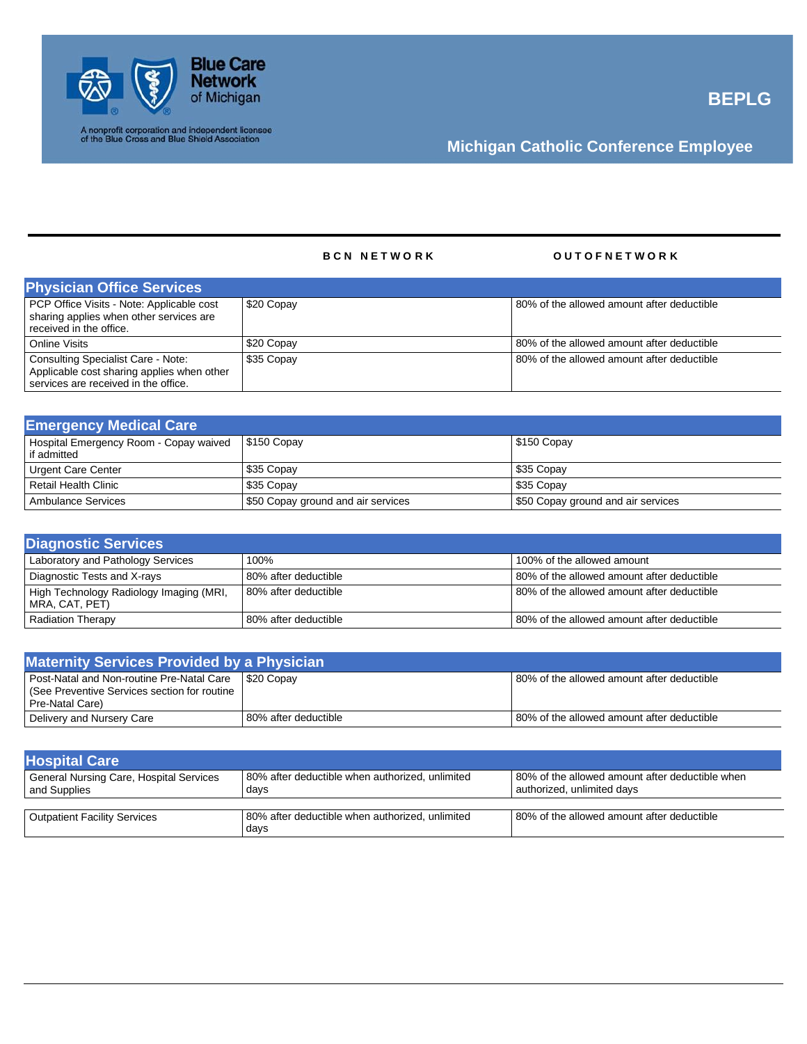

### B C N N E T W O R K **C N E T W O R K** O U T O F N E T W O R K

| <b>Physician Office Services</b>                                                                                         |            |                                            |
|--------------------------------------------------------------------------------------------------------------------------|------------|--------------------------------------------|
| PCP Office Visits - Note: Applicable cost<br>sharing applies when other services are<br>received in the office.          | \$20 Copay | 80% of the allowed amount after deductible |
| Online Visits                                                                                                            | \$20 Copay | 80% of the allowed amount after deductible |
| Consulting Specialist Care - Note:<br>Applicable cost sharing applies when other<br>services are received in the office. | \$35 Copay | 80% of the allowed amount after deductible |

| <b>Emergency Medical Care</b>                        |                                    |                                    |
|------------------------------------------------------|------------------------------------|------------------------------------|
| Hospital Emergency Room - Copay waived   \$150 Copay |                                    | \$150 Copay                        |
| if admitted                                          |                                    |                                    |
| Urgent Care Center                                   | \$35 Copay                         | \$35 Copay                         |
| Retail Health Clinic                                 | \$35 Copay                         | \$35 Copay                         |
| Ambulance Services                                   | \$50 Copay ground and air services | \$50 Copay ground and air services |

| <b>Diagnostic Services</b>                                |                      |                                            |
|-----------------------------------------------------------|----------------------|--------------------------------------------|
| Laboratory and Pathology Services                         | 100%                 | 100% of the allowed amount                 |
| Diagnostic Tests and X-rays                               | 80% after deductible | 80% of the allowed amount after deductible |
| High Technology Radiology Imaging (MRI,<br>MRA, CAT, PET) | 80% after deductible | 80% of the allowed amount after deductible |
| <b>Radiation Therapy</b>                                  | 80% after deductible | 80% of the allowed amount after deductible |

| <b>Maternity Services Provided by a Physician</b>                                                        |                      |                                            |
|----------------------------------------------------------------------------------------------------------|----------------------|--------------------------------------------|
| Post-Natal and Non-routine Pre-Natal Care   \$20 Copay<br>  (See Preventive Services section for routine |                      | 80% of the allowed amount after deductible |
| Pre-Natal Care)<br>Delivery and Nursery Care                                                             | 80% after deductible | 80% of the allowed amount after deductible |

| <b>Hospital Care</b>                                    |                                                         |                                                                               |
|---------------------------------------------------------|---------------------------------------------------------|-------------------------------------------------------------------------------|
| General Nursing Care, Hospital Services<br>and Supplies | 80% after deductible when authorized, unlimited<br>days | 80% of the allowed amount after deductible when<br>authorized, unlimited davs |
|                                                         |                                                         |                                                                               |
| <b>Outpatient Facility Services</b>                     | 80% after deductible when authorized, unlimited<br>days | 80% of the allowed amount after deductible                                    |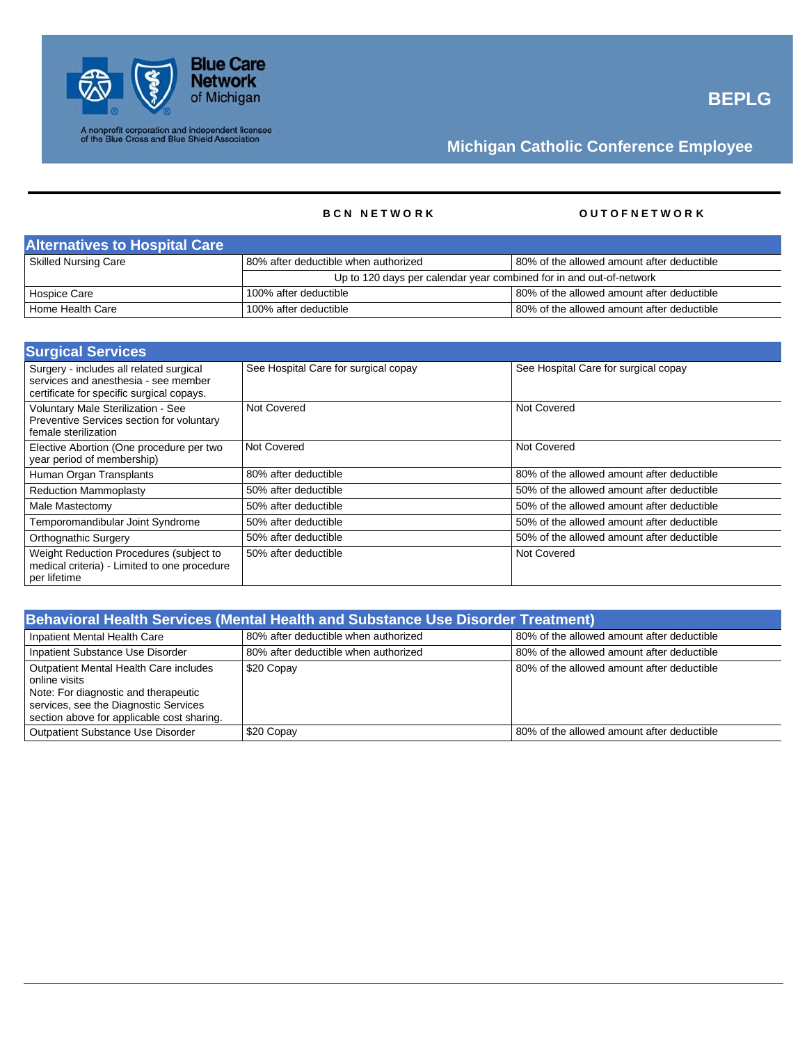

### **B C N N E T W O R K O U T O F N E T W O R K**

| <b>Alternatives to Hospital Care</b> |                                                                     |                                            |
|--------------------------------------|---------------------------------------------------------------------|--------------------------------------------|
| Skilled Nursing Care                 | 80% after deductible when authorized                                | 80% of the allowed amount after deductible |
|                                      | Up to 120 days per calendar year combined for in and out-of-network |                                            |
| Hospice Care                         | 100% after deductible                                               | 80% of the allowed amount after deductible |
| Home Health Care                     | 100% after deductible                                               | 80% of the allowed amount after deductible |

| <b>Surgical Services</b>                                                                                                     |                                      |                                            |
|------------------------------------------------------------------------------------------------------------------------------|--------------------------------------|--------------------------------------------|
| Surgery - includes all related surgical<br>services and anesthesia - see member<br>certificate for specific surgical copays. | See Hospital Care for surgical copay | See Hospital Care for surgical copay       |
| Voluntary Male Sterilization - See<br>Preventive Services section for voluntary<br>female sterilization                      | Not Covered                          | Not Covered                                |
| Elective Abortion (One procedure per two<br>year period of membership)                                                       | Not Covered                          | Not Covered                                |
| Human Organ Transplants                                                                                                      | 80% after deductible                 | 80% of the allowed amount after deductible |
| <b>Reduction Mammoplasty</b>                                                                                                 | 50% after deductible                 | 50% of the allowed amount after deductible |
| Male Mastectomy                                                                                                              | 50% after deductible                 | 50% of the allowed amount after deductible |
| Temporomandibular Joint Syndrome                                                                                             | 50% after deductible                 | 50% of the allowed amount after deductible |
| Orthognathic Surgery                                                                                                         | 50% after deductible                 | 50% of the allowed amount after deductible |
| Weight Reduction Procedures (subject to<br>medical criteria) - Limited to one procedure<br>per lifetime                      | 50% after deductible                 | Not Covered                                |

| <b>Behavioral Health Services (Mental Health and Substance Use Disorder Treatment)</b>                                                                                                        |                                      |                                            |
|-----------------------------------------------------------------------------------------------------------------------------------------------------------------------------------------------|--------------------------------------|--------------------------------------------|
| Inpatient Mental Health Care                                                                                                                                                                  | 80% after deductible when authorized | 80% of the allowed amount after deductible |
| Inpatient Substance Use Disorder                                                                                                                                                              | 80% after deductible when authorized | 80% of the allowed amount after deductible |
| <b>Outpatient Mental Health Care includes</b><br>online visits<br>Note: For diagnostic and therapeutic<br>services, see the Diagnostic Services<br>section above for applicable cost sharing. | \$20 Copay                           | 80% of the allowed amount after deductible |
| <b>Outpatient Substance Use Disorder</b>                                                                                                                                                      | \$20 Copay                           | 80% of the allowed amount after deductible |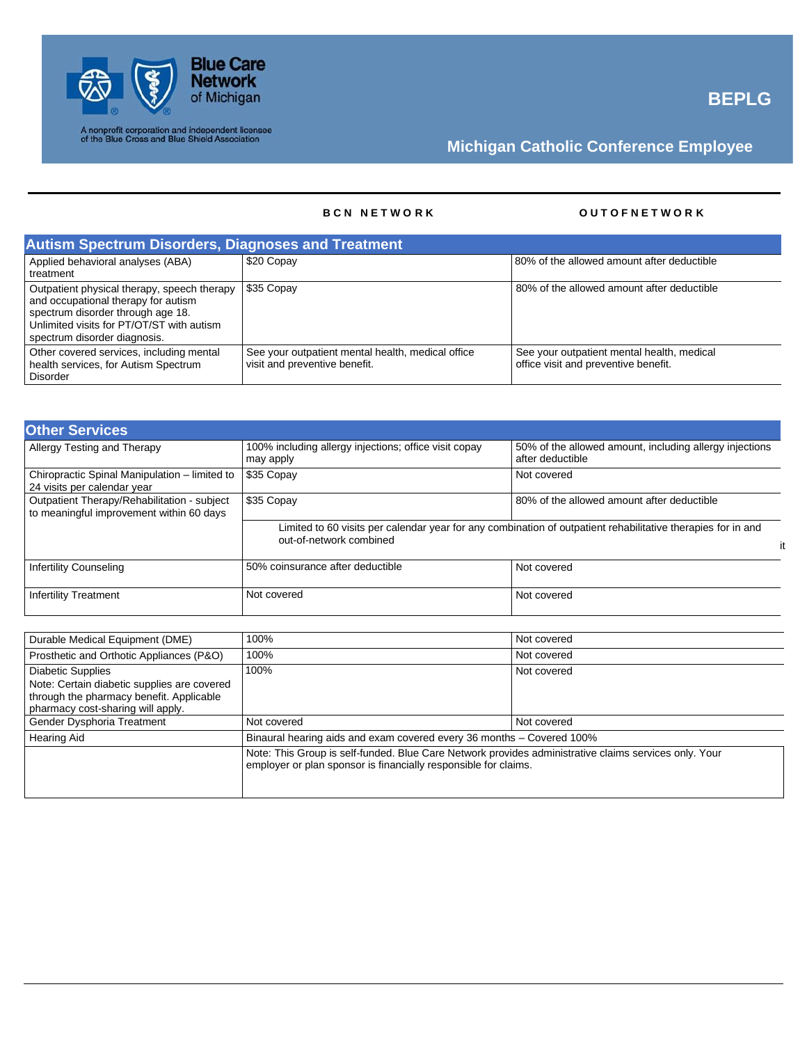

A nonprofit corporation and independent licensee<br>of the Blue Cross and Blue Shield Association

# **Michigan Catholic Conference Employee**

### **B C N N E T W O R K O U T O F N E T W O R K**

| <b>Autism Spectrum Disorders, Diagnoses and Treatment</b>                                                                                                                                            |                                                                                    |                                                                                    |
|------------------------------------------------------------------------------------------------------------------------------------------------------------------------------------------------------|------------------------------------------------------------------------------------|------------------------------------------------------------------------------------|
| Applied behavioral analyses (ABA)<br>treatment                                                                                                                                                       | \$20 Copay                                                                         | 80% of the allowed amount after deductible                                         |
| Outpatient physical therapy, speech therapy<br>and occupational therapy for autism<br>spectrum disorder through age 18.<br>Unlimited visits for PT/OT/ST with autism<br>spectrum disorder diagnosis. | \$35 Copay                                                                         | 80% of the allowed amount after deductible                                         |
| Other covered services, including mental<br>health services, for Autism Spectrum<br><b>Disorder</b>                                                                                                  | See your outpatient mental health, medical office<br>visit and preventive benefit. | See your outpatient mental health, medical<br>office visit and preventive benefit. |

| <b>Other Services</b>                                                                   |                                                                    |                                                                                                                    |
|-----------------------------------------------------------------------------------------|--------------------------------------------------------------------|--------------------------------------------------------------------------------------------------------------------|
| Allergy Testing and Therapy                                                             | 100% including allergy injections; office visit copay<br>may apply | 50% of the allowed amount, including allergy injections<br>after deductible                                        |
| Chiropractic Spinal Manipulation - limited to<br>24 visits per calendar year            | \$35 Copay                                                         | Not covered                                                                                                        |
| Outpatient Therapy/Rehabilitation - subject<br>to meaningful improvement within 60 days | \$35 Copay                                                         | 80% of the allowed amount after deductible                                                                         |
|                                                                                         | out-of-network combined                                            | Limited to 60 visits per calendar year for any combination of outpatient rehabilitative therapies for in and<br>it |
| <b>Infertility Counseling</b>                                                           | 50% coinsurance after deductible                                   | Not covered                                                                                                        |
| <b>Infertility Treatment</b>                                                            | Not covered                                                        | Not covered                                                                                                        |

| Durable Medical Equipment (DME)                                                                                                                          | 100%                                                                                                                                                                     | Not covered |  |
|----------------------------------------------------------------------------------------------------------------------------------------------------------|--------------------------------------------------------------------------------------------------------------------------------------------------------------------------|-------------|--|
| Prosthetic and Orthotic Appliances (P&O)                                                                                                                 | 100%                                                                                                                                                                     | Not covered |  |
| <b>Diabetic Supplies</b><br>Note: Certain diabetic supplies are covered<br>through the pharmacy benefit. Applicable<br>pharmacy cost-sharing will apply. | 100%                                                                                                                                                                     | Not covered |  |
| Gender Dysphoria Treatment                                                                                                                               | Not covered                                                                                                                                                              | Not covered |  |
| <b>Hearing Aid</b>                                                                                                                                       | Binaural hearing aids and exam covered every 36 months – Covered 100%                                                                                                    |             |  |
|                                                                                                                                                          | Note: This Group is self-funded. Blue Care Network provides administrative claims services only. Your<br>employer or plan sponsor is financially responsible for claims. |             |  |